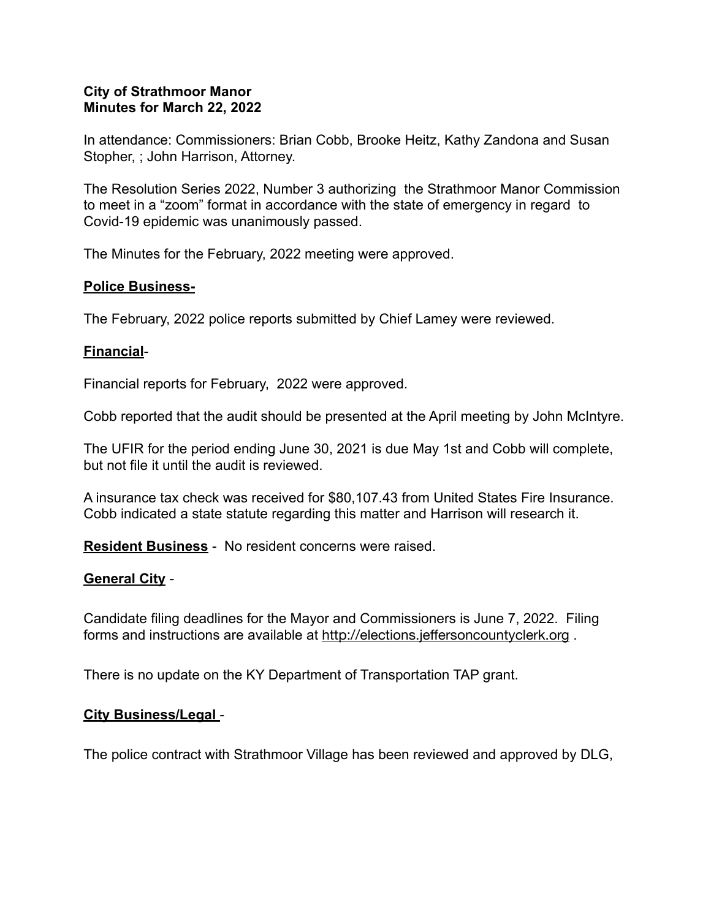### **City of Strathmoor Manor Minutes for March 22, 2022**

In attendance: Commissioners: Brian Cobb, Brooke Heitz, Kathy Zandona and Susan Stopher, ; John Harrison, Attorney.

The Resolution Series 2022, Number 3 authorizing the Strathmoor Manor Commission to meet in a "zoom" format in accordance with the state of emergency in regard to Covid-19 epidemic was unanimously passed.

The Minutes for the February, 2022 meeting were approved.

## **Police Business-**

The February, 2022 police reports submitted by Chief Lamey were reviewed.

## **Financial**-

Financial reports for February, 2022 were approved.

Cobb reported that the audit should be presented at the April meeting by John McIntyre.

The UFIR for the period ending June 30, 2021 is due May 1st and Cobb will complete, but not file it until the audit is reviewed.

A insurance tax check was received for \$80,107.43 from United States Fire Insurance. Cobb indicated a state statute regarding this matter and Harrison will research it.

**Resident Business** - No resident concerns were raised.

# **General City** -

Candidate filing deadlines for the Mayor and Commissioners is June 7, 2022. Filing forms and instructions are available at http://elections.jeff[ersoncountyclerk.org](http://elections.jeffersoncountyclerk.org) .

There is no update on the KY Department of Transportation TAP grant.

### **City Business/Legal** -

The police contract with Strathmoor Village has been reviewed and approved by DLG,